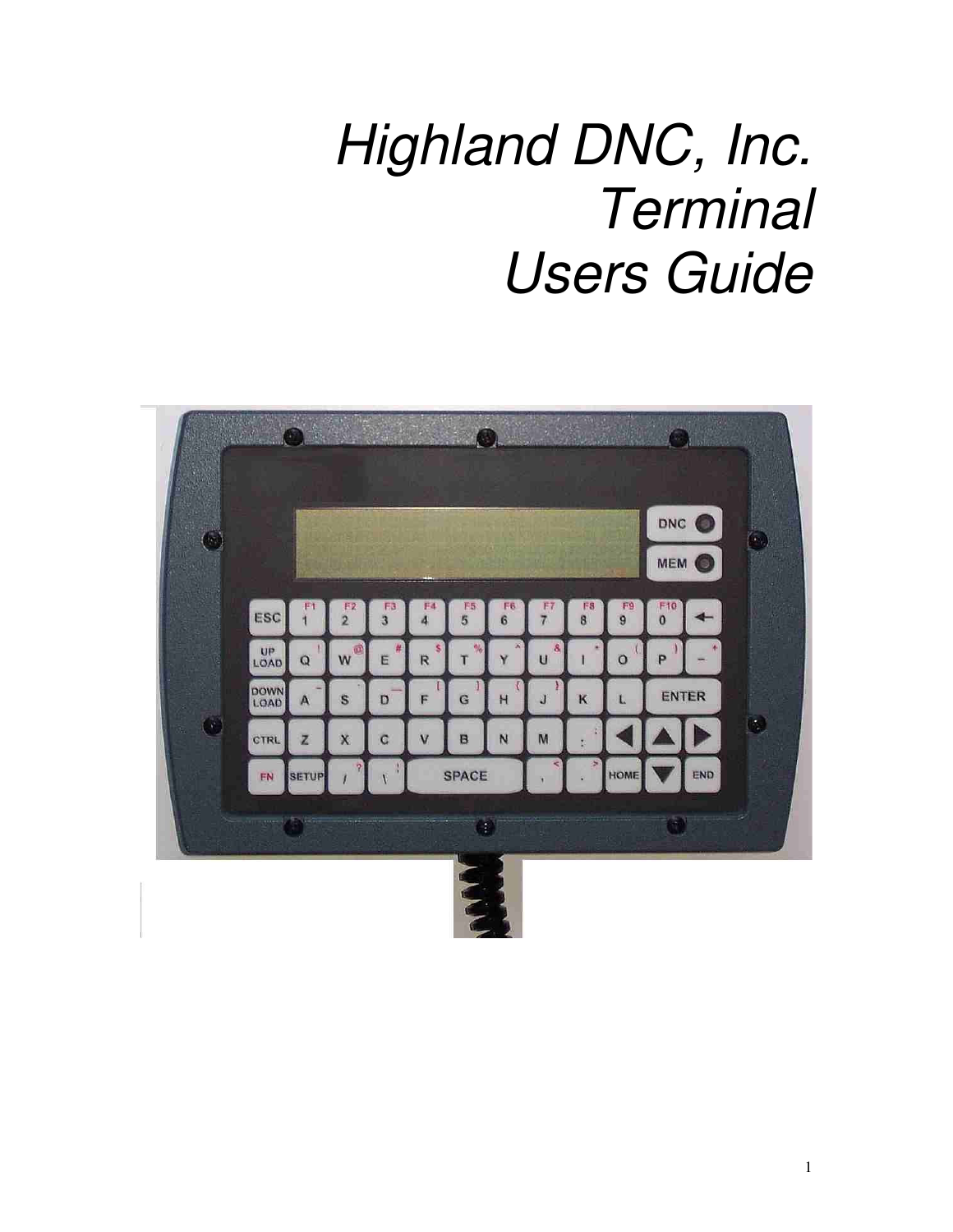# *Highland DNC, Inc. Terminal Users Guide*

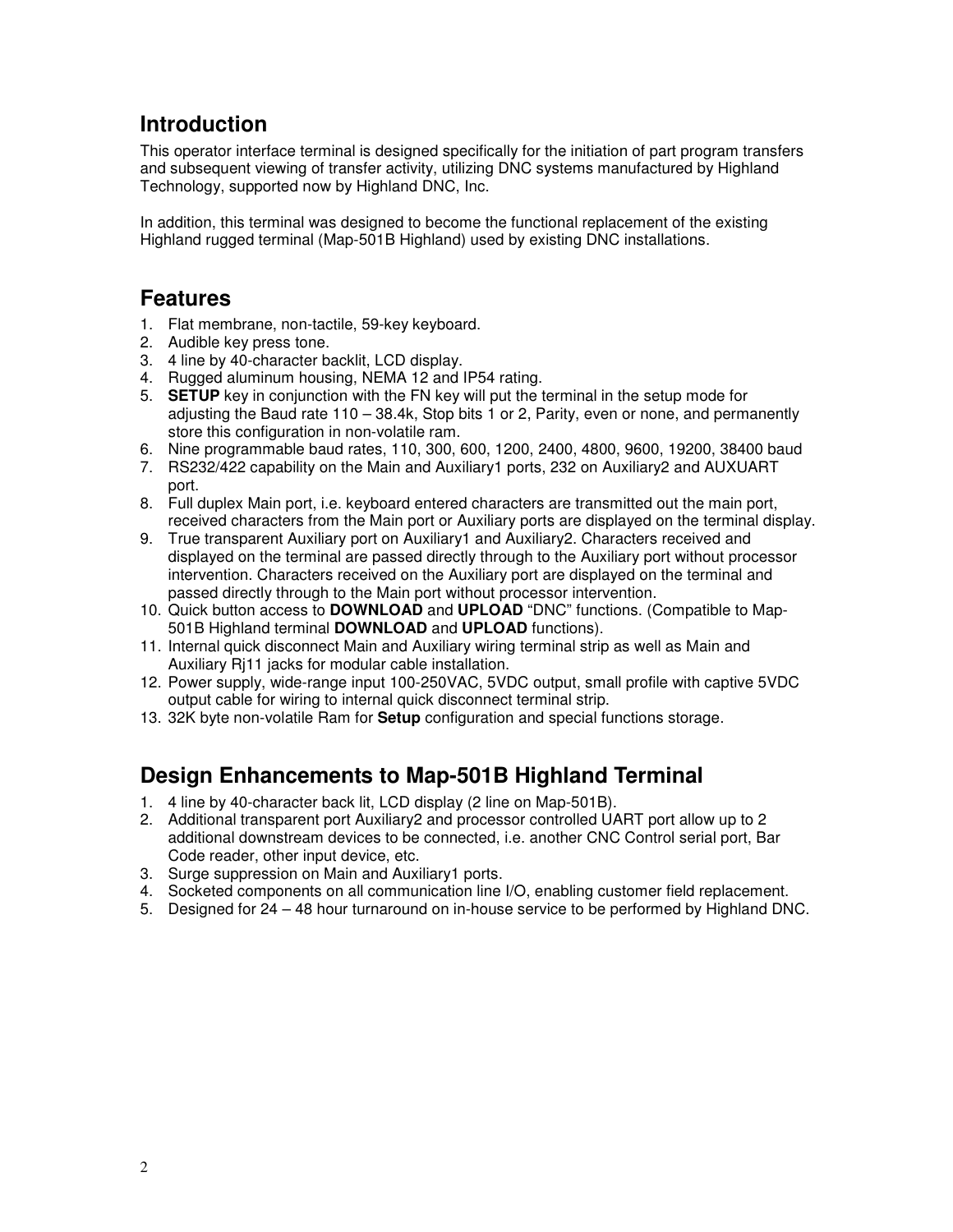## **Introduction**

This operator interface terminal is designed specifically for the initiation of part program transfers and subsequent viewing of transfer activity, utilizing DNC systems manufactured by Highland Technology, supported now by Highland DNC, Inc.

In addition, this terminal was designed to become the functional replacement of the existing Highland rugged terminal (Map-501B Highland) used by existing DNC installations.

## **Features**

- 1. Flat membrane, non-tactile, 59-key keyboard.
- 2. Audible key press tone.
- 3. 4 line by 40-character backlit, LCD display.
- 4. Rugged aluminum housing, NEMA 12 and IP54 rating.
- 5. **SETUP** key in conjunction with the FN key will put the terminal in the setup mode for adjusting the Baud rate 110 – 38.4k, Stop bits 1 or 2, Parity, even or none, and permanently store this configuration in non-volatile ram.
- 6. Nine programmable baud rates, 110, 300, 600, 1200, 2400, 4800, 9600, 19200, 38400 baud
- 7. RS232/422 capability on the Main and Auxiliary1 ports, 232 on Auxiliary2 and AUXUART port.
- 8. Full duplex Main port, i.e. keyboard entered characters are transmitted out the main port, received characters from the Main port or Auxiliary ports are displayed on the terminal display.
- 9. True transparent Auxiliary port on Auxiliary1 and Auxiliary2. Characters received and displayed on the terminal are passed directly through to the Auxiliary port without processor intervention. Characters received on the Auxiliary port are displayed on the terminal and passed directly through to the Main port without processor intervention.
- 10. Quick button access to **DOWNLOAD** and **UPLOAD** "DNC" functions. (Compatible to Map-501B Highland terminal **DOWNLOAD** and **UPLOAD** functions).
- 11. Internal quick disconnect Main and Auxiliary wiring terminal strip as well as Main and Auxiliary Rj11 jacks for modular cable installation.
- 12. Power supply, wide-range input 100-250VAC, 5VDC output, small profile with captive 5VDC output cable for wiring to internal quick disconnect terminal strip.
- 13. 32K byte non-volatile Ram for **Setup** configuration and special functions storage.

# **Design Enhancements to Map-501B Highland Terminal**

- 1. 4 line by 40-character back lit, LCD display (2 line on Map-501B).
- 2. Additional transparent port Auxiliary2 and processor controlled UART port allow up to 2 additional downstream devices to be connected, i.e. another CNC Control serial port, Bar Code reader, other input device, etc.
- 3. Surge suppression on Main and Auxiliary1 ports.
- 4. Socketed components on all communication line I/O, enabling customer field replacement.
- 5. Designed for 24 48 hour turnaround on in-house service to be performed by Highland DNC.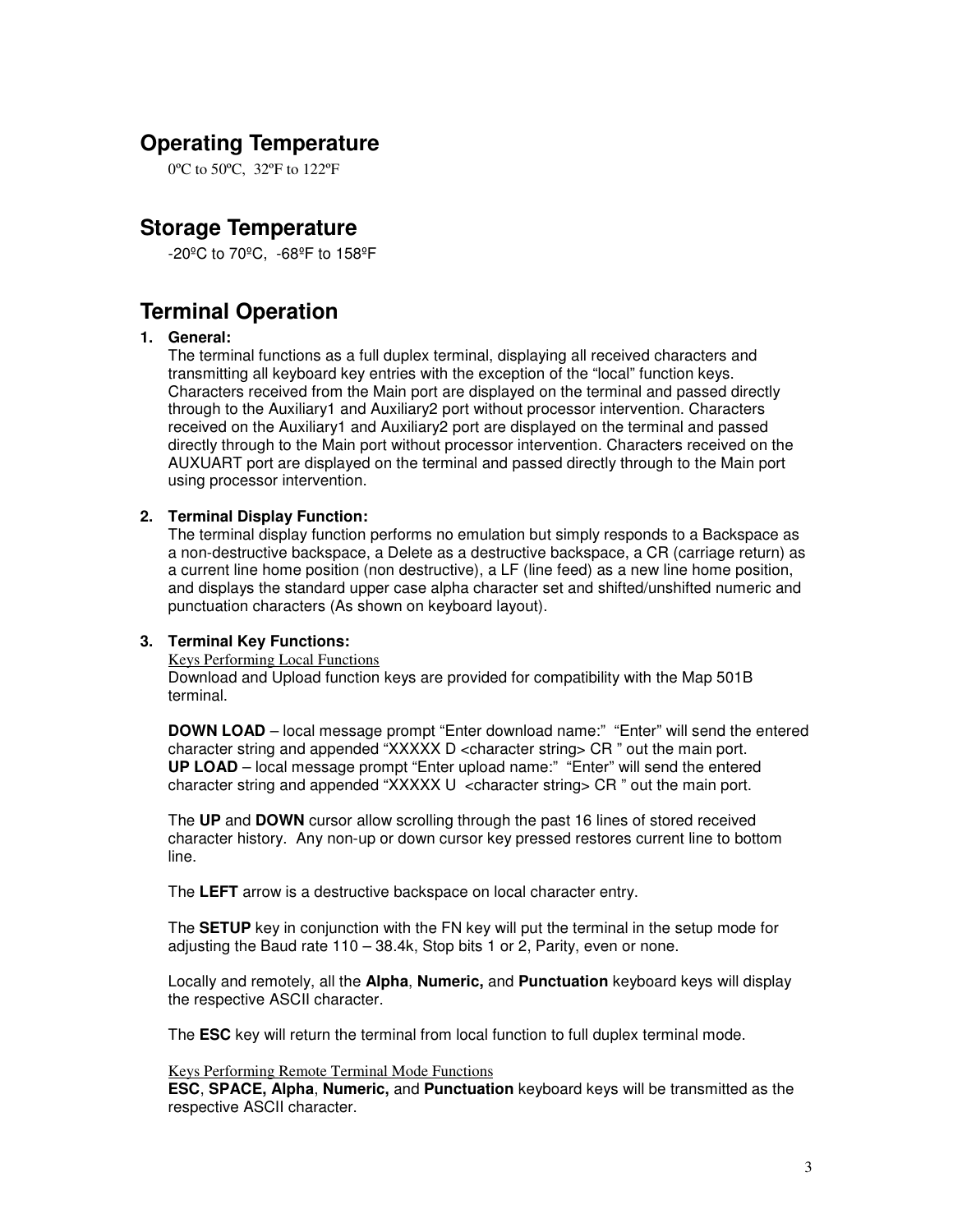## **Operating Temperature**

0ºC to 50ºC, 32ºF to 122ºF

## **Storage Temperature**

-20ºC to 70ºC, -68ºF to 158ºF

## **Terminal Operation**

#### **1. General:**

The terminal functions as a full duplex terminal, displaying all received characters and transmitting all keyboard key entries with the exception of the "local" function keys. Characters received from the Main port are displayed on the terminal and passed directly through to the Auxiliary1 and Auxiliary2 port without processor intervention. Characters received on the Auxiliary1 and Auxiliary2 port are displayed on the terminal and passed directly through to the Main port without processor intervention. Characters received on the AUXUART port are displayed on the terminal and passed directly through to the Main port using processor intervention.

#### **2. Terminal Display Function:**

The terminal display function performs no emulation but simply responds to a Backspace as a non-destructive backspace, a Delete as a destructive backspace, a CR (carriage return) as a current line home position (non destructive), a LF (line feed) as a new line home position, and displays the standard upper case alpha character set and shifted/unshifted numeric and punctuation characters (As shown on keyboard layout).

#### **3. Terminal Key Functions:**

Keys Performing Local Functions

Download and Upload function keys are provided for compatibility with the Map 501B terminal.

**DOWN LOAD** – local message prompt "Enter download name:" "Enter" will send the entered character string and appended "XXXXX D <character string> CR " out the main port. **UP LOAD** – local message prompt "Enter upload name:" "Enter" will send the entered character string and appended "XXXXX  $U \lt$ character string> CR " out the main port.

The **UP** and **DOWN** cursor allow scrolling through the past 16 lines of stored received character history. Any non-up or down cursor key pressed restores current line to bottom line.

The **LEFT** arrow is a destructive backspace on local character entry.

The **SETUP** key in conjunction with the FN key will put the terminal in the setup mode for adjusting the Baud rate 110 – 38.4k, Stop bits 1 or 2, Parity, even or none.

Locally and remotely, all the **Alpha**, **Numeric,** and **Punctuation** keyboard keys will display the respective ASCII character.

The **ESC** key will return the terminal from local function to full duplex terminal mode.

#### Keys Performing Remote Terminal Mode Functions

**ESC**, **SPACE, Alpha**, **Numeric,** and **Punctuation** keyboard keys will be transmitted as the respective ASCII character.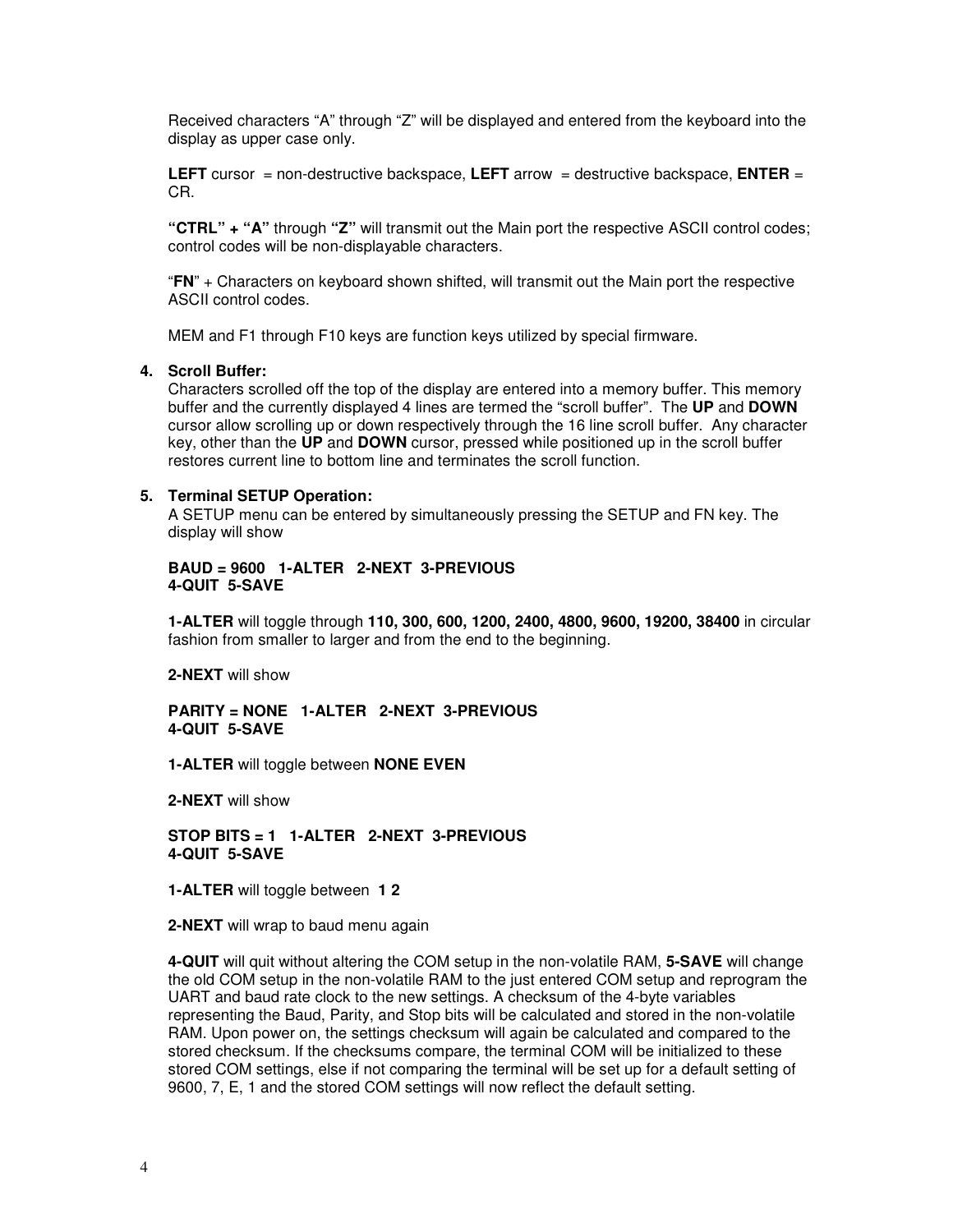Received characters "A" through "Z" will be displayed and entered from the keyboard into the display as upper case only.

**LEFT** cursor = non-destructive backspace, **LEFT** arrow = destructive backspace, **ENTER** = CR.

**"CTRL" + "A"** through **"Z"** will transmit out the Main port the respective ASCII control codes; control codes will be non-displayable characters.

"**FN**" + Characters on keyboard shown shifted, will transmit out the Main port the respective ASCII control codes.

MEM and F1 through F10 keys are function keys utilized by special firmware.

#### **4. Scroll Buffer:**

Characters scrolled off the top of the display are entered into a memory buffer. This memory buffer and the currently displayed 4 lines are termed the "scroll buffer". The **UP** and **DOWN** cursor allow scrolling up or down respectively through the 16 line scroll buffer. Any character key, other than the **UP** and **DOWN** cursor, pressed while positioned up in the scroll buffer restores current line to bottom line and terminates the scroll function.

#### **5. Terminal SETUP Operation:**

A SETUP menu can be entered by simultaneously pressing the SETUP and FN key. The display will show

#### **BAUD = 9600 1-ALTER 2-NEXT 3-PREVIOUS 4-QUIT 5-SAVE**

**1-ALTER** will toggle through **110, 300, 600, 1200, 2400, 4800, 9600, 19200, 38400** in circular fashion from smaller to larger and from the end to the beginning.

**2-NEXT** will show

#### **PARITY = NONE 1-ALTER 2-NEXT 3-PREVIOUS 4-QUIT 5-SAVE**

**1-ALTER** will toggle between **NONE EVEN**

**2-NEXT** will show

**STOP BITS = 1 1-ALTER 2-NEXT 3-PREVIOUS 4-QUIT 5-SAVE**

**1-ALTER** will toggle between **1 2**

**2-NEXT** will wrap to baud menu again

**4-QUIT** will quit without altering the COM setup in the non-volatile RAM, **5-SAVE** will change the old COM setup in the non-volatile RAM to the just entered COM setup and reprogram the UART and baud rate clock to the new settings. A checksum of the 4-byte variables representing the Baud, Parity, and Stop bits will be calculated and stored in the non-volatile RAM. Upon power on, the settings checksum will again be calculated and compared to the stored checksum. If the checksums compare, the terminal COM will be initialized to these stored COM settings, else if not comparing the terminal will be set up for a default setting of 9600, 7, E, 1 and the stored COM settings will now reflect the default setting.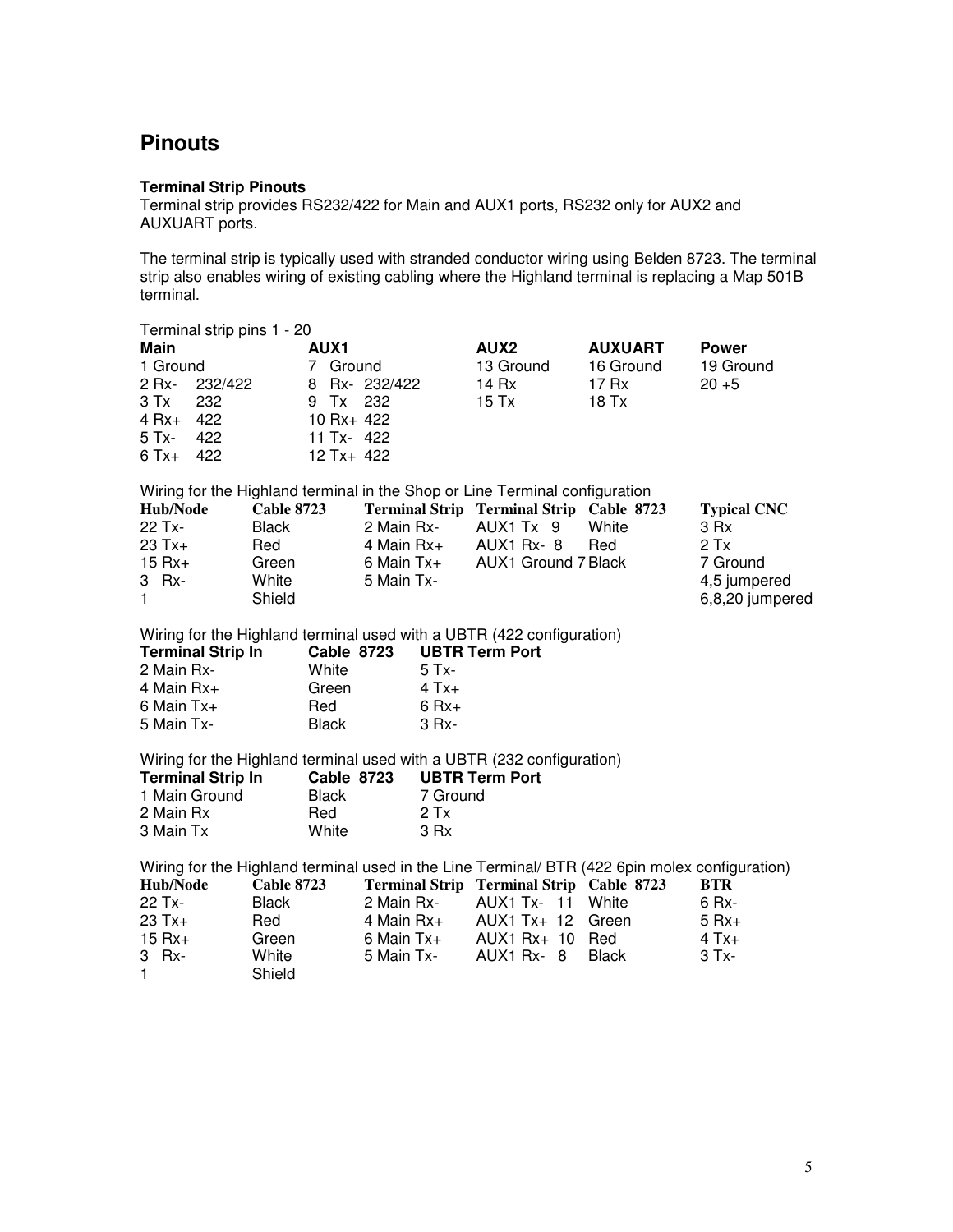# **Pinouts**

#### **Terminal Strip Pinouts**

Terminal strip provides RS232/422 for Main and AUX1 ports, RS232 only for AUX2 and AUXUART ports.

The terminal strip is typically used with stranded conductor wiring using Belden 8723. The terminal strip also enables wiring of existing cabling where the Highland terminal is replacing a Map 501B terminal.

|                                                                                  | Terminal strip pins 1 - 20 |                                                            |                                      |                                                                                                |                                                                                                |                    |
|----------------------------------------------------------------------------------|----------------------------|------------------------------------------------------------|--------------------------------------|------------------------------------------------------------------------------------------------|------------------------------------------------------------------------------------------------|--------------------|
| <b>Main</b>                                                                      |                            | <b>AUX1</b>                                                |                                      | AUX2                                                                                           | <b>AUXUART</b>                                                                                 | <b>Power</b>       |
| 1 Ground                                                                         |                            | 7 Ground                                                   |                                      | 13 Ground                                                                                      | 16 Ground                                                                                      | 19 Ground          |
| 2 Rx-                                                                            | 232/422                    | 8                                                          | Rx-232/422                           | 14 Rx                                                                                          | 17 Rx                                                                                          | $20 + 5$           |
| 3 Tx<br>232                                                                      |                            | 9 Tx                                                       | 232                                  | $15$ Tx                                                                                        | 18 Tx                                                                                          |                    |
| $4 Rx+$<br>422                                                                   |                            | 10 Rx+ 422                                                 |                                      |                                                                                                |                                                                                                |                    |
| 422<br>5 Tx-                                                                     |                            | 11 Tx- 422                                                 |                                      |                                                                                                |                                                                                                |                    |
| 422<br>$6$ Tx+                                                                   |                            | 12 Tx+ 422                                                 |                                      |                                                                                                |                                                                                                |                    |
|                                                                                  |                            |                                                            |                                      | Wiring for the Highland terminal in the Shop or Line Terminal configuration                    |                                                                                                |                    |
| Hub/Node                                                                         | <b>Cable 8723</b>          |                                                            |                                      | Terminal Strip Terminal Strip Cable 8723                                                       |                                                                                                | <b>Typical CNC</b> |
| 22 Tx-                                                                           | <b>Black</b>               |                                                            | 2 Main Rx-                           | AUX1 Tx 9                                                                                      | White                                                                                          | 3 Rx               |
| $23 Tx +$                                                                        | Red                        |                                                            | 4 Main Rx+                           | AUX1 Rx-8                                                                                      | Red                                                                                            | 2Tx                |
| $15 Rx +$                                                                        | Green                      |                                                            | 6 Main Tx+                           | <b>AUX1 Ground 7 Black</b>                                                                     |                                                                                                | 7 Ground           |
| 3 Rx-                                                                            | White                      |                                                            | 5 Main Tx-                           |                                                                                                |                                                                                                | 4,5 jumpered       |
| 1                                                                                | Shield                     |                                                            |                                      |                                                                                                |                                                                                                | 6,8,20 jumpered    |
| <b>Terminal Strip In</b><br>2 Main Rx-<br>4 Main Rx+<br>6 Main Tx+<br>5 Main Tx- |                            | <b>Cable 8723</b><br>White<br>Green<br>Red<br><b>Black</b> | 5 Tx-<br>$4$ Tx+<br>$6 Rx+$<br>3 Rx- | Wiring for the Highland terminal used with a UBTR (422 configuration)<br><b>UBTR Term Port</b> |                                                                                                |                    |
|                                                                                  |                            |                                                            |                                      | Wiring for the Highland terminal used with a UBTR (232 configuration)                          |                                                                                                |                    |
| <b>Terminal Strip In</b>                                                         |                            | <b>Cable 8723</b>                                          |                                      | <b>UBTR Term Port</b>                                                                          |                                                                                                |                    |
| 1 Main Ground                                                                    |                            | <b>Black</b>                                               | 7 Ground                             |                                                                                                |                                                                                                |                    |
| 2 Main Rx                                                                        |                            | Red                                                        | 2Tx                                  |                                                                                                |                                                                                                |                    |
| 3 Main Tx                                                                        |                            | White                                                      | 3 Rx                                 |                                                                                                |                                                                                                |                    |
|                                                                                  |                            |                                                            |                                      |                                                                                                | Wiring for the Highland terminal used in the Line Terminal/ BTR (422 6pin molex configuration) |                    |
| <b>Hub/Node</b>                                                                  | <b>Cable 8723</b>          |                                                            |                                      | Terminal Strip Terminal Strip Cable 8723                                                       |                                                                                                | <b>BTR</b>         |
| 22 Tx-                                                                           | <b>Black</b>               |                                                            | 2 Main Rx-                           | <b>AUX1 Tx- 11</b>                                                                             | White                                                                                          | 6 Rx-              |
| $23$ Tx+                                                                         | Red                        |                                                            | 4 Main Rx+                           | AUX1 $Tx + 12$                                                                                 | Green                                                                                          | $5 Rx+$            |
| $15 Rx+$                                                                         | Green                      |                                                            | 6 Main Tx+                           | AUX1 Rx+ 10                                                                                    | Red                                                                                            | $4$ Tx+            |
| 3 Rx-                                                                            | White                      |                                                            | 5 Main Tx-                           | AUX1 Rx-<br>- 8                                                                                | <b>Black</b>                                                                                   | 3 Tx-              |
| 1                                                                                | Shield                     |                                                            |                                      |                                                                                                |                                                                                                |                    |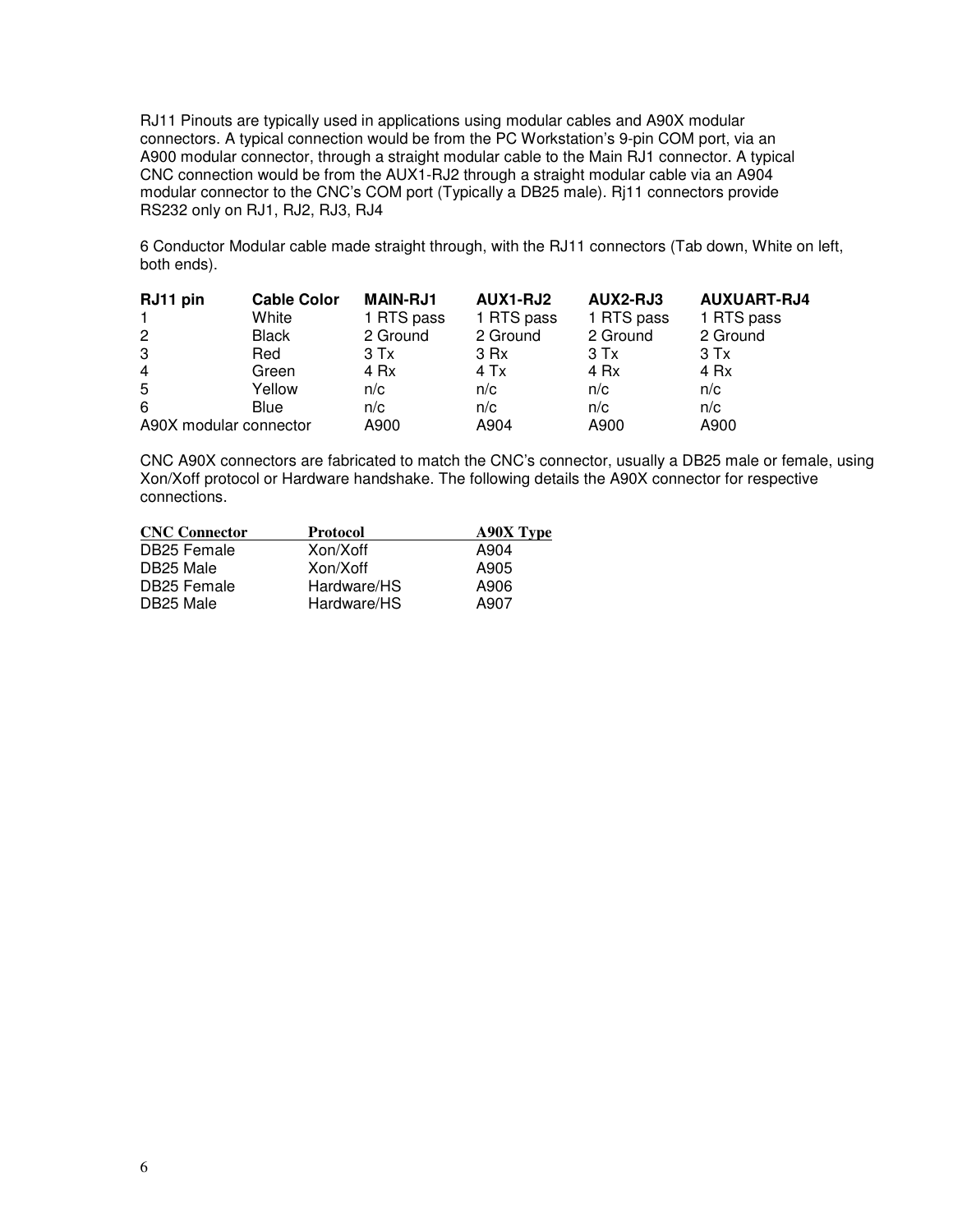RJ11 Pinouts are typically used in applications using modular cables and A90X modular connectors. A typical connection would be from the PC Workstation's 9-pin COM port, via an A900 modular connector, through a straight modular cable to the Main RJ1 connector. A typical CNC connection would be from the AUX1-RJ2 through a straight modular cable via an A904 modular connector to the CNC's COM port (Typically a DB25 male). Rj11 connectors provide RS232 only on RJ1, RJ2, RJ3, RJ4

6 Conductor Modular cable made straight through, with the RJ11 connectors (Tab down, White on left, both ends).

| RJ11 pin               | <b>Cable Color</b> | <b>MAIN-RJ1</b> | <b>AUX1-RJ2</b> | AUX2-RJ3   | <b>AUXUART-RJ4</b> |
|------------------------|--------------------|-----------------|-----------------|------------|--------------------|
| $\mathbf{1}$           | White              | 1 RTS pass      | 1 RTS pass      | 1 RTS pass | 1 RTS pass         |
| $\overline{2}$         | <b>Black</b>       | 2 Ground        | 2 Ground        | 2 Ground   | 2 Ground           |
| 3                      | Red                | $3$ Tx          | 3 Rx            | $3$ Tx     | $3$ Tx             |
| $\overline{4}$         | Green              | 4 Rx            | 4 Tx            | 4 Rx       | 4 Rx               |
| 5                      | Yellow             | n/c             | n/c             | n/c        | n/c                |
| 6                      | <b>Blue</b>        | n/c             | n/c             | n/c        | n/c                |
| A90X modular connector |                    | A900            | A904            | A900       | A900               |

CNC A90X connectors are fabricated to match the CNC's connector, usually a DB25 male or female, using Xon/Xoff protocol or Hardware handshake. The following details the A90X connector for respective connections.

| <b>CNC Connector</b> | Protocol    | <b>A90X Type</b> |
|----------------------|-------------|------------------|
| DB25 Female          | Xon/Xoff    | A904             |
| DB25 Male            | Xon/Xoff    | A905             |
| DB25 Female          | Hardware/HS | A906             |
| DB25 Male            | Hardware/HS | A907             |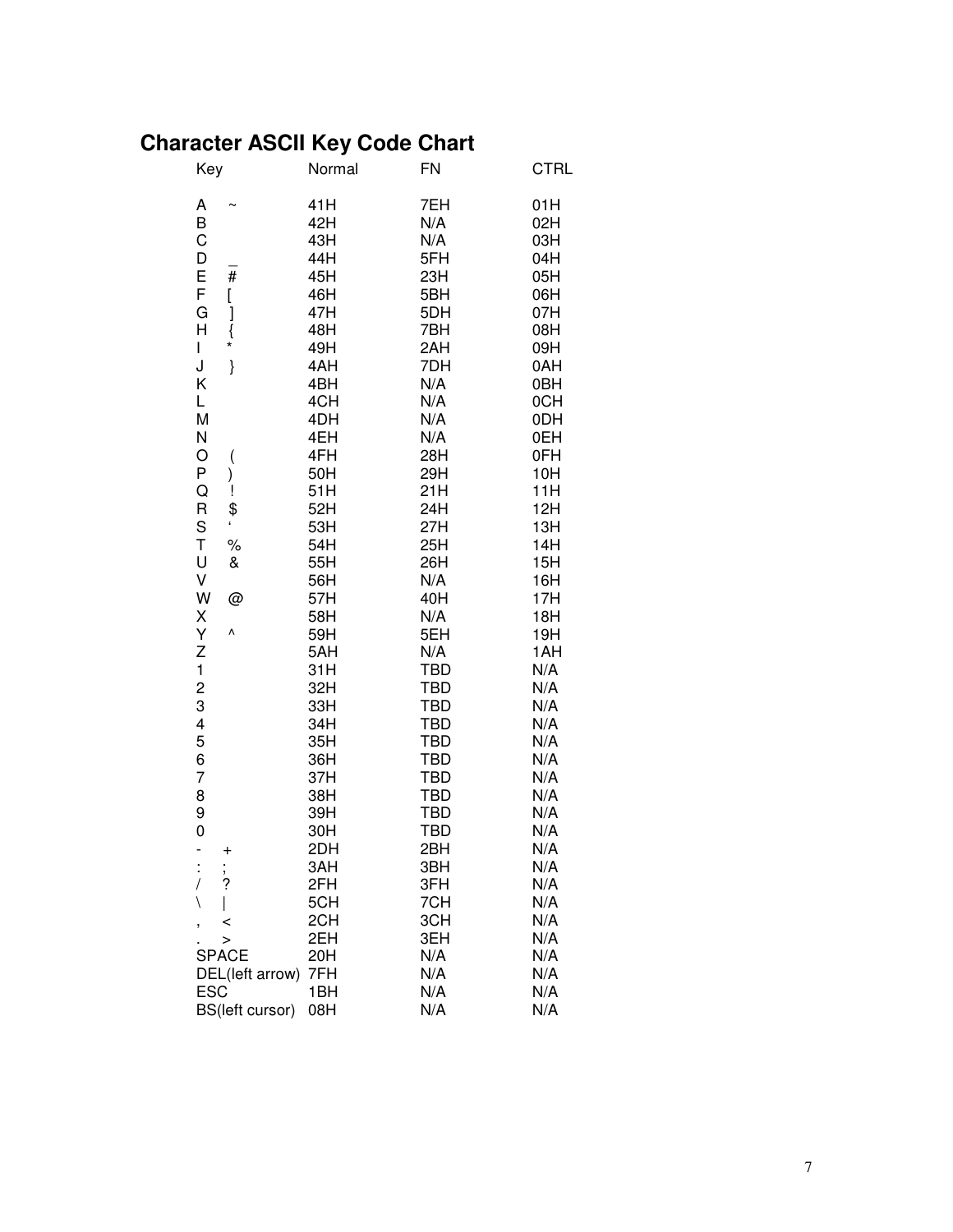## **Character ASCII Key Code Chart**

| Key                      | Normal     | <b>FN</b>                | <b>CTRL</b> |
|--------------------------|------------|--------------------------|-------------|
| Α                        | 41H        | 7EH                      | 01H         |
| B                        | 42H        | N/A                      | 02H         |
| C                        | 43H        | N/A                      | 03H         |
| D                        | 44H        | 5FH                      | 04H         |
| #                        | 45H        | 23H                      | 05H         |
| E<br>F<br>[              | 46H        | 5BH                      | 06H         |
| G                        | 47H        | 5DH                      | 07H         |
| ]<br>}<br>*<br>H         | 48H        | 7BH                      | 08H         |
| I                        | 49H        | 2AH                      | 09H         |
| J<br>}                   | 4AH        | 7DH                      | 0AH         |
| Κ                        | 4BH        | N/A                      | 0BH         |
| Г                        | 4CH        | N/A                      | 0CH         |
| M                        | 4DH        | N/A                      | 0DH         |
| N                        | 4EH        | N/A                      | 0EH         |
| O<br>(                   | 4FH        | 28H                      | 0FH         |
| P<br>)                   | 50H        | 29H                      | 10H         |
| Q<br>Ţ                   | 51H        | 21H                      | 11H         |
| \$<br>R                  | 52H        | 24H                      | 12H         |
| S                        | 53H        | 27H                      | 13H         |
| T<br>$\%$                | 54H        | 25H                      | 14H         |
| U<br>&                   | 55H        | 26H                      | 15H         |
| V                        | 56H        | N/A                      | 16H         |
| W<br>@                   | 57H        | 40H                      | 17H         |
| Χ                        | 58H        | N/A                      | 18H         |
| Y<br>٨                   | 59H        | 5EH                      | 19H         |
| Z                        | 5AH        | N/A                      | 1AH         |
| $\mathbf{1}$             | 31H        | <b>TBD</b>               | N/A         |
| $\overline{\mathbf{c}}$  | 32H        | <b>TBD</b>               | N/A         |
| 3                        | 33H        | <b>TBD</b>               | N/A         |
| 4                        | 34H        | <b>TBD</b>               | N/A         |
| 5                        | 35H        | <b>TBD</b>               | N/A         |
| 6                        | 36H        | <b>TBD</b>               | N/A         |
| $\overline{7}$           | 37H        | <b>TBD</b>               | N/A         |
| 8                        | 38H<br>39H | <b>TBD</b><br><b>TBD</b> | N/A         |
| 9<br>0                   | 30H        | <b>TBD</b>               | N/A<br>N/A  |
|                          | 2DH        | 2BH                      | N/A         |
| $\,{}^+$                 | 3AH        | 3BH                      | N/A         |
| ;<br>?<br>$\overline{1}$ | 2FH        | 3FH                      | N/A         |
| ∖                        | 5CH        | 7CH                      | N/A         |
|                          | 2CH        | 3CH                      | N/A         |
| <<br>,<br>$\geq$         | 2EH        | 3EH                      | N/A         |
| <b>SPACE</b>             | 20H        | N/A                      | N/A         |
| DEL(left arrow)          | 7FH        | N/A                      | N/A         |
| <b>ESC</b>               | 1BH        | N/A                      | N/A         |
| BS(left cursor)          | 08H        | N/A                      | N/A         |
|                          |            |                          |             |